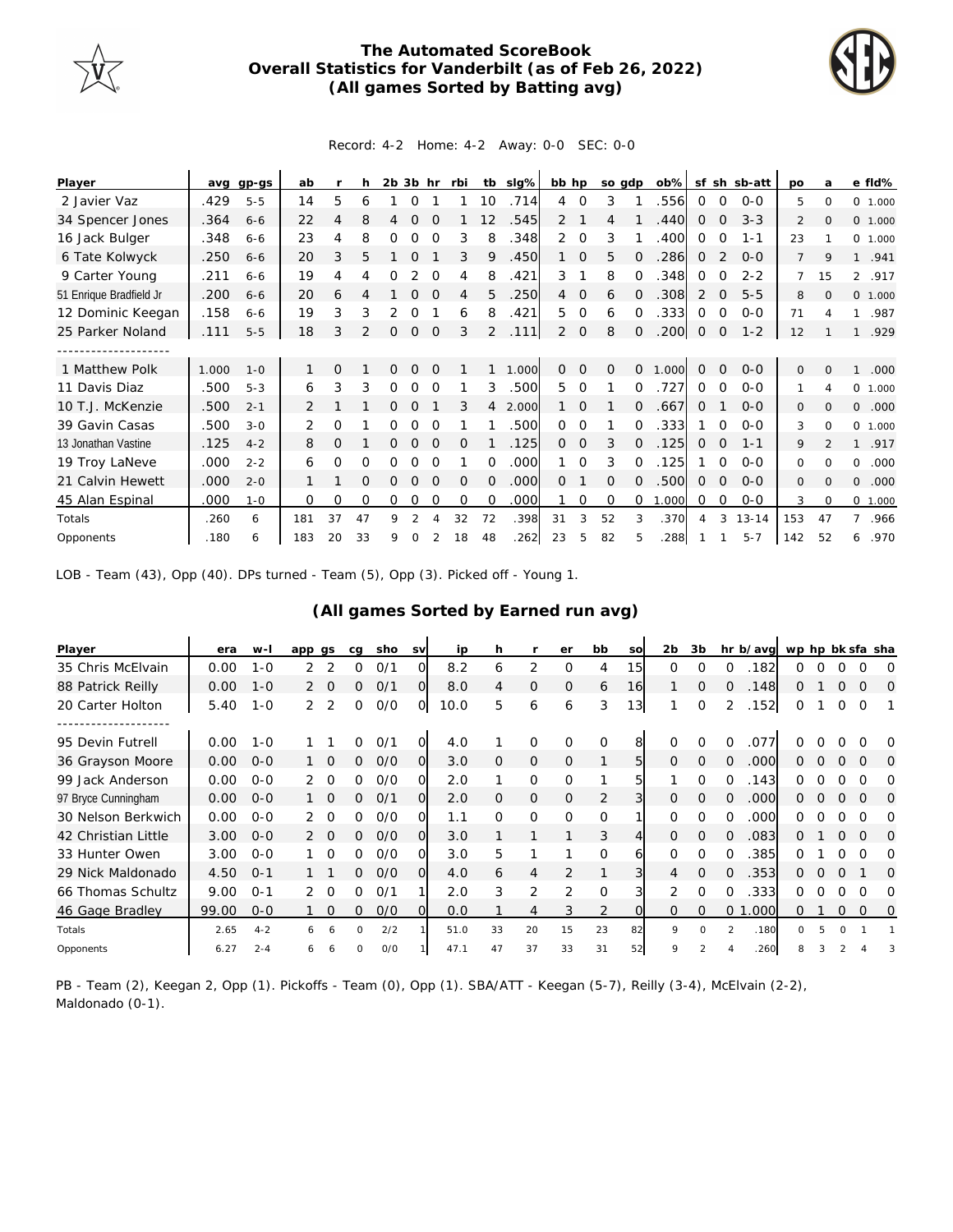

## **The Automated ScoreBook Overall Statistics for Vanderbilt (as of Feb 26, 2022) (All games Sorted by Batting avg)**



## Record: 4-2 Home: 4-2 Away: 0-0 SEC: 0-0

| Player                  | ava   | $qp-gs$ | ab  |                | h  | $2b$ $3b$ |               | hr       | rbi      | tb             | slg%  | bb hp          |                | so adp   |          | $ob\%$ |             |                | sf sh sb-att | <b>DO</b>      | a              | e fld%                 |
|-------------------------|-------|---------|-----|----------------|----|-----------|---------------|----------|----------|----------------|-------|----------------|----------------|----------|----------|--------|-------------|----------------|--------------|----------------|----------------|------------------------|
| 2 Javier Vaz            | .429  | $5 - 5$ | 14  | 5              | 6  |           | 0             |          |          | 10             | .714  | $\overline{4}$ | $\mathbf 0$    | 3        |          | .556   | 0           | 0              | $0 - 0$      | 5              | $\Omega$       | 0 1.000                |
| 34 Spencer Jones        | .364  | $6 - 6$ | 22  | 4              | 8  | 4         | $\Omega$      | $\Omega$ |          | 12             | .545  | $\overline{2}$ |                | 4        |          | .440   | 0           | 0              | $3 - 3$      | 2              | $\mathbf{O}$   | 0 1.000                |
| 16 Jack Bulger          | .348  | $6 - 6$ | 23  | 4              | 8  | Ω         | O             | $\Omega$ | 3        | 8              | .348  | 2              | $\Omega$       | 3        |          | .400   | 0           | 0              | $1 - 1$      | 23             |                | 0, 1,000               |
| 6 Tate Kolwyck          | .250  | $6 - 6$ | 20  | 3              | 5  |           | Ω             |          | 3        | 9              | .450  |                | 0              | 5        | $\Omega$ | .286   | 0           | $\overline{2}$ | $O - O$      | $\overline{7}$ | 9              | $\mathbf{1}$<br>.941   |
| 9 Carter Young          | .211  | $6 - 6$ | 19  | 4              | 4  | O         |               | $\Omega$ | 4        | 8              | .421  | 3              |                | 8        | $\Omega$ | .348   | $\Omega$    | $\Omega$       | $2 - 2$      | $\overline{7}$ | 15             | $\overline{2}$<br>.917 |
| 51 Enrique Bradfield Jr | .200  | $6 - 6$ | 20  | 6              |    |           | $\Omega$      |          | 4        | 5              | .250  | $\overline{4}$ | $\mathbf 0$    | 6        | $\Omega$ | .308   | 2           | $\Omega$       | $5 - 5$      | 8              | $\Omega$       | 0, 1,000               |
| 12 Dominic Keegan       | .158  | $6 - 6$ | 19  | 3              | 3  | 2         | 0             |          | 6        | 8              | .421  | 5              | $\Omega$       | 6        | 0        | .333   | $\Omega$    | $\Omega$       | $0 - 0$      | 71             | 4              | .987<br>1              |
| 25 Parker Noland        | .111  | $5 - 5$ | 18  | 3              |    | 0         | $\mathcal{O}$ | $\Omega$ | 3        | $\overline{2}$ | .111  | $\overline{2}$ | $\overline{O}$ | 8        | $\Omega$ | .200   | $\mathbf 0$ | 0              | $1 - 2$      | 12             |                | .929<br>1              |
| -----------------       |       |         |     |                |    |           |               |          |          |                |       |                |                |          |          |        |             |                |              |                |                |                        |
| 1 Matthew Polk          | 1.000 | $1 - 0$ |     | $\Omega$       |    | 0         | $\Omega$      | $\Omega$ |          |                | 1.000 | 0              | $\Omega$       | $\Omega$ | $\Omega$ | 1.000  | $\Omega$    | $\Omega$       | $0 - 0$      | $\Omega$       | $\Omega$       | .000<br>1              |
| 11 Davis Diaz           | .500  | $5 - 3$ | 6   | 3              | 3  | Ω         | O             | ∩        |          | 3              | .500  | 5.             | $\Omega$       |          | $\Omega$ | .727   | 0           | $\Omega$       | $0 - 0$      |                | 4              | 0 1.000                |
| 10 T.J. McKenzie        | .500  | $2 - 1$ | 2   |                |    |           | $\Omega$      |          | 3        | 4              | 2.000 |                | $\Omega$       |          | $\Omega$ | .667   | $\Omega$    |                | $0 - 0$      | 0              | $\Omega$       | 0<br>.000              |
| 39 Gavin Casas          | .500  | $3 - 0$ | 2   | 0              |    | 0         | $\Omega$      | $\Omega$ |          |                | .500  | $\Omega$       | $\Omega$       |          | 0        | .333   |             | $\Omega$       | $0 - 0$      | 3              | $\Omega$       | $\Omega$<br>1.000      |
| 13 Jonathan Vastine     | .125  | $4 - 2$ | 8   | $\overline{O}$ |    | 0         | $\Omega$      | $\Omega$ | $\Omega$ |                | .125  | $\Omega$       | 0              | 3        | $\Omega$ | .125   | 0           | $\Omega$       | $1 - 1$      | 9              | $\mathfrak{D}$ | .917<br>$\mathbf{1}$   |
| 19 Troy LaNeve          | .000  | $2 - 2$ | 6   | 0              | 0  | 0         | 0             | $\Omega$ |          | $\Omega$       | .000  |                | $\Omega$       | 3        | $\Omega$ | .125   |             | $\Omega$       | $0 - 0$      | 0              | $\Omega$       | 0<br>.000              |
| 21 Calvin Hewett        | .000  | $2 - 0$ |     |                | O  | Ω         | $\Omega$      | $\Omega$ | $\Omega$ | $\Omega$       | .000  | $\Omega$       |                | $\Omega$ | 0        | .500   | 0           | $\Omega$       | $O-O$        | 0              | $\Omega$       | $\Omega$<br>.000       |
| 45 Alan Espinal         | .000  | $1 - 0$ | 0   | 0              | 0  | 0         | 0             | 0        | $\Omega$ | $\Omega$       | .000  |                | 0              | $\Omega$ | 0        | 1.000  | $\circ$     | 0              | $0-0$        | 3              | $\Omega$       | 0 1.000                |
| Totals                  | .260  | 6       | 181 | 37             | 47 | 9         | 2             |          | 32       | 72             | .398  | 31             | 3              | 52       | 3        | .370   | 4           | 3              | $13 - 14$    | 153            | 47             | .966                   |
| Opponents               | .180  | 6       | 183 | 20             | 33 | 9         | $\Omega$      |          | 18       | 48             | .262  | 23             | 5              | 82       | 5        | .288   |             |                | $5 - 7$      | 142            | 52             | .970<br>6              |

LOB - Team (43), Opp (40). DPs turned - Team (5), Opp (3). Picked off - Young 1.

## **(All games Sorted by Earned run avg)**

| Player              | era   | $W -$   | app gs        |                 | cg           | sho | <b>SV</b>      | ip   | h              |                | er             | bb          | SO             | 2 <sub>b</sub> | 3b       | hr b/avg               |          |   |          | wp hp bk sfa sha |          |
|---------------------|-------|---------|---------------|-----------------|--------------|-----|----------------|------|----------------|----------------|----------------|-------------|----------------|----------------|----------|------------------------|----------|---|----------|------------------|----------|
| 35 Chris McElvain   | 0.00  | $1 - 0$ |               |                 | 0            | O/1 | 0              | 8.2  | 6              | 2              | 0              | 4           | 15             | $\Omega$       | O        | 182<br>∩               | O        |   |          |                  | O        |
| 88 Patrick Reilly   | 0.00  | $1 - 0$ |               | $\circ$         | 0            | O/1 | $\overline{O}$ | 8.0  | 4              | $\mathcal{O}$  | $\mathbf{O}$   | 6           | 16             |                | 0        | 148<br>$\Omega$        | 0        |   | 0        | 0                | 0        |
| 20 Carter Holton    | 5.40  | $1 - 0$ | 2             | 2               | 0            | O/O | O              | 10.0 | 5              | 6              | 6              | 3           | 13             |                | $\Omega$ | 152<br>2               | 0        |   |          | 0                |          |
| 95 Devin Futrell    | 0.00  | $1 - 0$ |               |                 | 0            | 0/1 | O              | 4.0  |                | 0              | O              | O           | 8              | $\Omega$       | $\Omega$ | $\Omega$<br>.077       |          |   |          |                  | O        |
| 36 Grayson Moore    | 0.00  | $O - O$ |               | $1\quad \Omega$ | $\Omega$     | O/O | $\Omega$       | 3.0  | $\overline{O}$ | $\overline{O}$ | $\mathbf{O}$   |             | 5              | $\Omega$       | $\Omega$ | .000<br>$\Omega$       | 0        | 0 | $\Omega$ | $\Omega$         | $\Omega$ |
| 99 Jack Anderson    | 0.00  | $O - O$ |               | $\circ$         | 0            | 0/0 | Ω              | 2.0  |                | 0              | $\Omega$       |             | 5              |                | $\Omega$ | 143<br>∩               | 0        |   |          |                  | O        |
| 97 Bryce Cunningham | 0.00  | $0 - 0$ |               | $1\quad$ 0      | 0            | O/1 | $\overline{O}$ | 2.0  | $\Omega$       | $\overline{O}$ | $\overline{O}$ | 2           | 3              | $\Omega$       | $\Omega$ | .000<br>$\Omega$       | 0        | 0 | $\Omega$ | $\Omega$         | 0        |
| 30 Nelson Berkwich  | 0.00  | $0 - 0$ | $\mathcal{P}$ | $\Omega$        | <sup>o</sup> | O/O | O              | 1.1  | $\Omega$       | $\Omega$       | $\Omega$       | $\Omega$    |                | $\Omega$       | O        | .000<br>∩              | 0        |   |          | O                | Ω        |
| 42 Christian Little | 3.00  | $O-O$   |               | $\Omega$        | 0            | O/O | $\Omega$       | 3.0  |                |                |                | 3           | 4              | $\Omega$       | $\Omega$ | 083<br>$\Omega$        | 0        |   |          | $\Omega$         | $\Omega$ |
| 33 Hunter Owen      | 3.00  | $0 - 0$ |               | $\Omega$        | 0            | O/O | O              | 3.0  | 5              |                |                | 0           | 6              | $\Omega$       | $\Omega$ | .385<br>$\Omega$       | ∩        |   | O        |                  | Ω        |
| 29 Nick Maldonado   | 4.50  | $O - 1$ |               |                 | 0            | O/O | $\Omega$       | 4.0  | 6              | $\overline{4}$ | $\overline{2}$ |             | $\overline{3}$ | 4              | $\Omega$ | .353<br>$\Omega$       | 0        | ∩ | $\Omega$ |                  | O        |
| 66 Thomas Schultz   | 9.00  | $O - 1$ | 2             | $\circ$         | 0            | O/1 |                | 2.0  | 3              | 2              | 2              | $\mathbf 0$ | 31             | 2              | $\Omega$ | 333<br>$\Omega$        | 0        |   | O        | 0                | O        |
| 46 Gage Bradley     | 99.00 | $0 - 0$ |               | $\Omega$        | 0            | O/O | $\Omega$       | 0.0  |                | $\overline{4}$ | 3              | 2           | $\Omega$       | $\Omega$       | $\Omega$ | .000<br>0 <sub>1</sub> | 0        |   | 0        | $\Omega$         | 0        |
| Totals              | 2.65  | $4 - 2$ |               |                 | $\Omega$     | 2/2 |                | 51.0 | 33             | 20             | 15             | 23          | 82             | $\mathsf{Q}$   | $\Omega$ | $\mathcal{P}$<br>.180  | $\Omega$ | 5 |          |                  |          |
| Opponents           | 6.27  | $2 - 4$ |               |                 | $\Omega$     | O/O |                | 47.1 | 47             | 37             | 33             | 31          | 52             | 9              |          | .260                   |          |   |          |                  |          |

PB - Team (2), Keegan 2, Opp (1). Pickoffs - Team (0), Opp (1). SBA/ATT - Keegan (5-7), Reilly (3-4), McElvain (2-2), Maldonado (0-1).